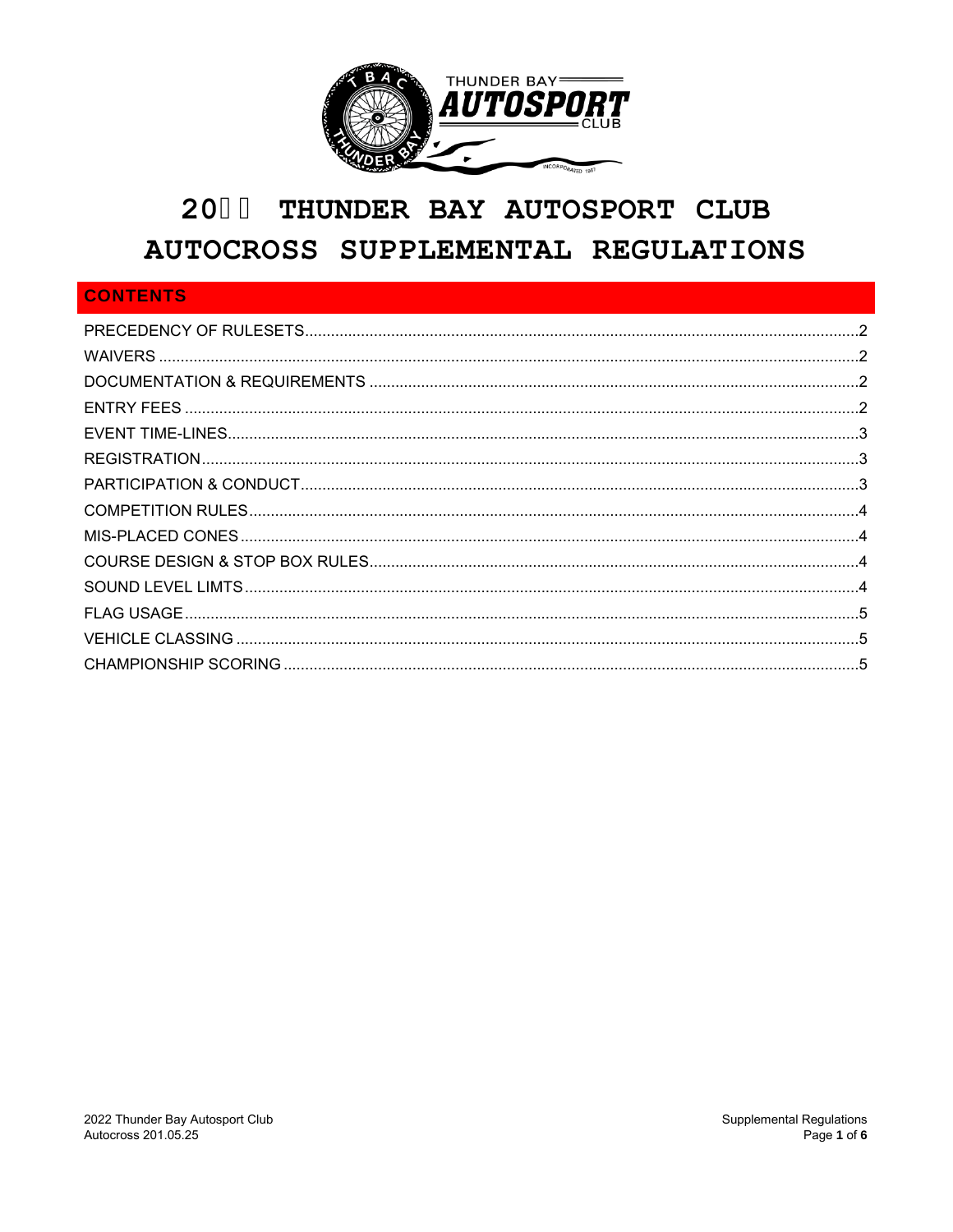

# 2044 THUNDER BAY AUTOSPORT CLUB AUTOCROSS SUPPLEMENTAL REGULATIONS

# **CONTENTS**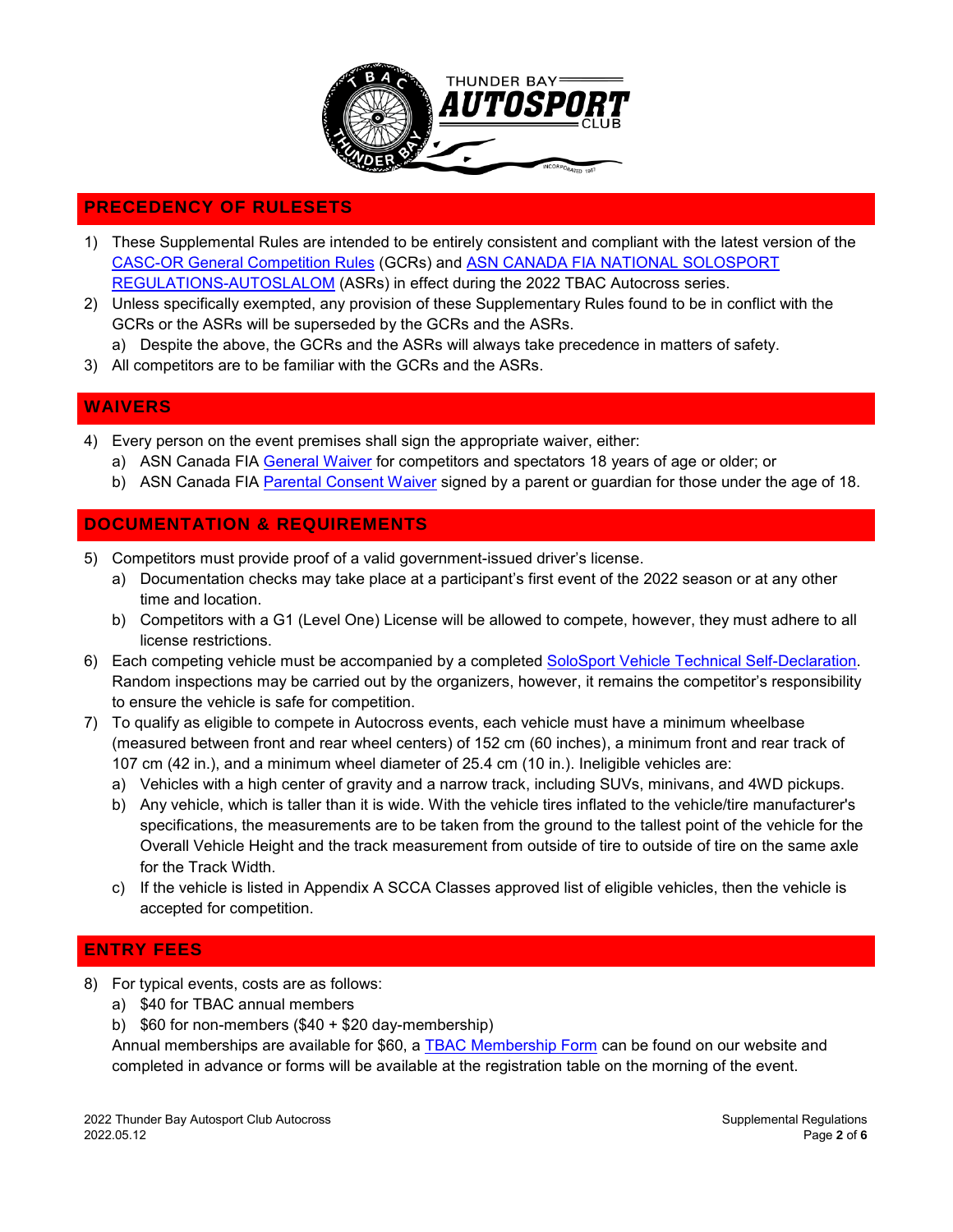

# <span id="page-1-0"></span>**PRECEDENCY OF RULESETS**

- 1) These Supplemental Rules are intended to be entirely consistent and compliant with the latest version of the [CASC-OR General Competition Rules](http://www.casc.on.ca/sites/default/files/gcr_published_170720.pdf) (GCRs) and ASN CANADA FIA [NATIONAL SOLOSPORT](http://www.asncanada.com/wp-content/uploads/2017/06/ASN-2017-Autoslalom-Regulations-complete.pdf) [REGULATIONS-AUTOSLALOM](http://www.asncanada.com/wp-content/uploads/2016/04/ASN-2016-Autoslalom-Regulations.pdf) (ASRs) in effect during the 2022 TBAC Autocross series.
- 2) Unless specifically exempted, any provision of these Supplementary Rules found to be in conflict with the GCRs or the ASRs will be superseded by the GCRs and the ASRs.
	- a) Despite the above, the GCRs and the ASRs will always take precedence in matters of safety.
- 3) All competitors are to be familiar with the GCRs and the ASRs.

# <span id="page-1-1"></span>**WAIVERS**

- 4) Every person on the event premises shall sign the appropriate waiver, either:
	- a) ASN Canada FIA [General Waiver](http://www.asncanada.com/wp-content/uploads/2016/01/ASN_English_General_Waiver_09.pdf) for competitors and spectators 18 years of age or older; or
	- b) ASN Canada FIA [Parental Consent Waiver](http://www.asncanada.com/wp-content/uploads/2016/01/ASN-English-Annual-Parental-Consent-Waiver.pdf) signed by a parent or guardian for those under the age of 18.

#### <span id="page-1-2"></span>**DOCUMENTATION & REQUIREMENTS**

- 5) Competitors must provide proof of a valid government-issued driver's license.
	- a) Documentation checks may take place at a participant's first event of the 2022 season or at any other time and location.
	- b) Competitors with a G1 (Level One) License will be allowed to compete, however, they must adhere to all license restrictions.
- 6) Each competing vehicle must be accompanied by a completed [SoloSport Vehicle Technical Self-Declaration.](http://www.asncanada.com/wp-content/uploads/2016/03/ASN_SoloSport_Tech_Self_Insp_Form.pdf) Random inspections may be carried out by the organizers, however, it remains the competitor's responsibility to ensure the vehicle is safe for competition.
- 7) To qualify as eligible to compete in Autocross events, each vehicle must have a minimum wheelbase (measured between front and rear wheel centers) of 152 cm (60 inches), a minimum front and rear track of 107 cm (42 in.), and a minimum wheel diameter of 25.4 cm (10 in.). Ineligible vehicles are:
	- a) Vehicles with a high center of gravity and a narrow track, including SUVs, minivans, and 4WD pickups.
	- b) Any vehicle, which is taller than it is wide. With the vehicle tires inflated to the vehicle/tire manufacturer's specifications, the measurements are to be taken from the ground to the tallest point of the vehicle for the Overall Vehicle Height and the track measurement from outside of tire to outside of tire on the same axle for the Track Width.
	- c) If the vehicle is listed in Appendix A SCCA Classes approved list of eligible vehicles, then the vehicle is accepted for competition.

#### <span id="page-1-3"></span>**ENTRY FEES**

- 8) For typical events, costs are as follows:
	- a) \$40 for TBAC annual members
	- b) \$60 for non-members (\$40 + \$20 day-membership)

Annual memberships are available for \$60, a [TBAC Membership Form](http://www.thunderbayautosportclub.com/tbac/uploads/pdf/tbacmembershipform16.pdf) can be found on our website and completed in advance or forms will be available at the registration table on the morning of the event.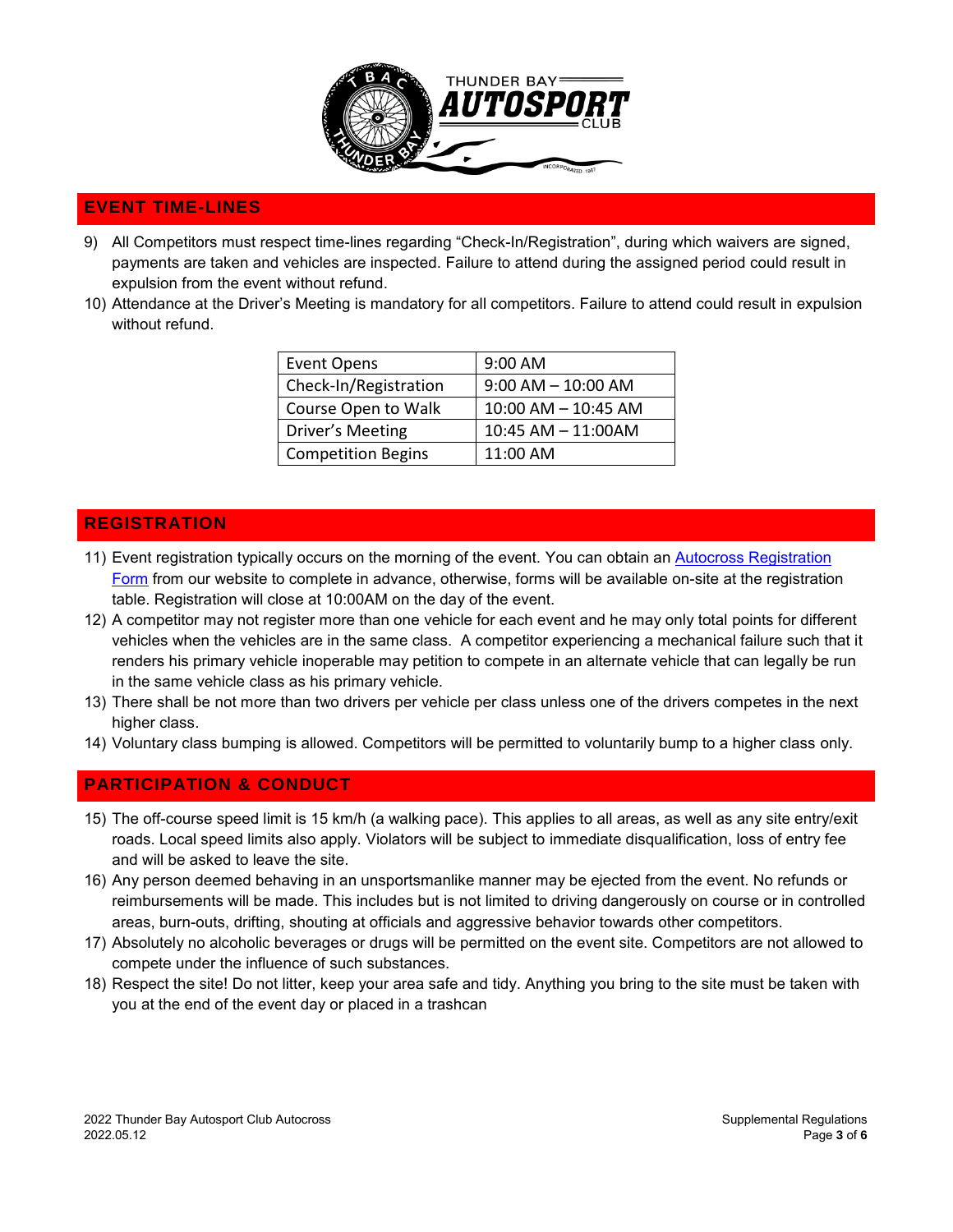

# <span id="page-2-0"></span>**EVENT TIME-LINES**

- 9) All Competitors must respect time-lines regarding "Check-In/Registration", during which waivers are signed, payments are taken and vehicles are inspected. Failure to attend during the assigned period could result in expulsion from the event without refund.
- 10) Attendance at the Driver's Meeting is mandatory for all competitors. Failure to attend could result in expulsion without refund.

| <b>Event Opens</b>        | 9:00 AM                 |
|---------------------------|-------------------------|
| Check-In/Registration     | $9:00$ AM $- 10:00$ AM  |
| Course Open to Walk       | $10:00$ AM $- 10:45$ AM |
| Driver's Meeting          | 10:45 AM - 11:00AM      |
| <b>Competition Begins</b> | $11:00$ AM              |

#### <span id="page-2-1"></span>**REGISTRATION**

- 11) Event registration typically occurs on the morning of the event. You can obtain an [Autocross Registration](http://www.thunderbayautosportclub.com/tbac/uploads/summer/2018_autoslalom_reg_form.pdf) [Form](http://www.thunderbayautosportclub.com/tbac/uploads/summer/2016_autoslalom_reg_form.pdf) from our website to complete in advance, otherwise, forms will be available on-site at the registration table. Registration will close at 10:00AM on the day of the event.
- 12) A competitor may not register more than one vehicle for each event and he may only total points for different vehicles when the vehicles are in the same class. A competitor experiencing a mechanical failure such that it renders his primary vehicle inoperable may petition to compete in an alternate vehicle that can legally be run in the same vehicle class as his primary vehicle.
- 13) There shall be not more than two drivers per vehicle per class unless one of the drivers competes in the next higher class.
- 14) Voluntary class bumping is allowed. Competitors will be permitted to voluntarily bump to a higher class only.

# <span id="page-2-2"></span>**PARTICIPATION & CONDUCT**

- 15) The off-course speed limit is 15 km/h (a walking pace). This applies to all areas, as well as any site entry/exit roads. Local speed limits also apply. Violators will be subject to immediate disqualification, loss of entry fee and will be asked to leave the site.
- 16) Any person deemed behaving in an unsportsmanlike manner may be ejected from the event. No refunds or reimbursements will be made. This includes but is not limited to driving dangerously on course or in controlled areas, burn-outs, drifting, shouting at officials and aggressive behavior towards other competitors.
- 17) Absolutely no alcoholic beverages or drugs will be permitted on the event site. Competitors are not allowed to compete under the influence of such substances.
- 18) Respect the site! Do not litter, keep your area safe and tidy. Anything you bring to the site must be taken with you at the end of the event day or placed in a trashcan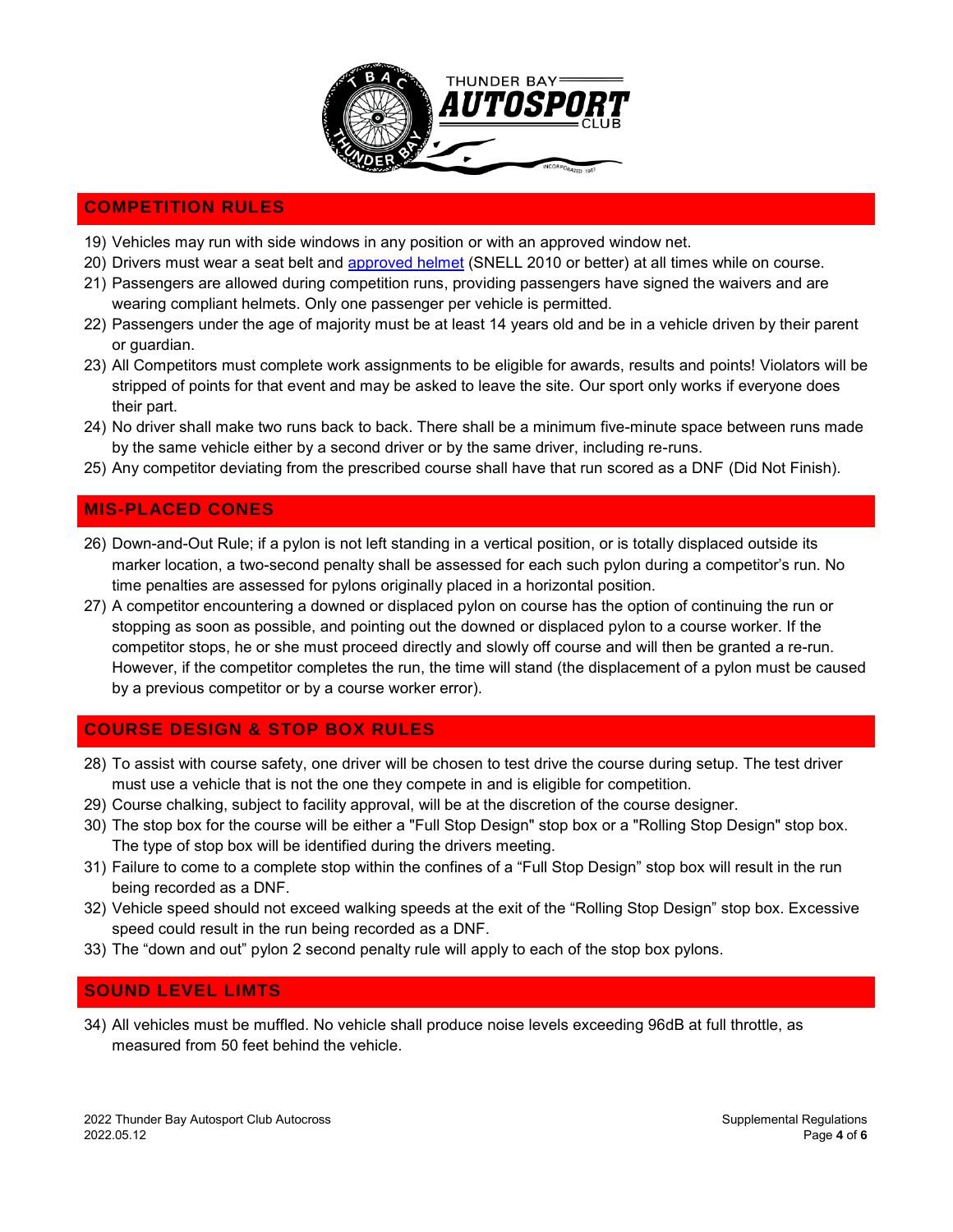

# <span id="page-3-0"></span>**COMPETITION RULES**

- 19) Vehicles may run with side windows in any position or with an approved window net.
- 20) Drivers must wear a seat belt and [approved helmet](http://www.scca.com/downloads/11658-2016-solo-helmet-cert-decals-2/download) (SNELL 2010 or better) at all times while on course.
- 21) Passengers are allowed during competition runs, providing passengers have signed the waivers and are wearing compliant helmets. Only one passenger per vehicle is permitted.
- 22) Passengers under the age of majority must be at least 14 years old and be in a vehicle driven by their parent or guardian.
- 23) All Competitors must complete work assignments to be eligible for awards, results and points! Violators will be stripped of points for that event and may be asked to leave the site. Our sport only works if everyone does their part.
- 24) No driver shall make two runs back to back. There shall be a minimum five-minute space between runs made by the same vehicle either by a second driver or by the same driver, including re-runs.
- 25) Any competitor deviating from the prescribed course shall have that run scored as a DNF (Did Not Finish).

# <span id="page-3-1"></span>**MIS-PLACED CONES**

- 26) Down-and-Out Rule; if a pylon is not left standing in a vertical position, or is totally displaced outside its marker location, a two-second penalty shall be assessed for each such pylon during a competitor's run. No time penalties are assessed for pylons originally placed in a horizontal position.
- 27) A competitor encountering a downed or displaced pylon on course has the option of continuing the run or stopping as soon as possible, and pointing out the downed or displaced pylon to a course worker. If the competitor stops, he or she must proceed directly and slowly off course and will then be granted a re-run. However, if the competitor completes the run, the time will stand (the displacement of a pylon must be caused by a previous competitor or by a course worker error).

#### <span id="page-3-2"></span>**COURSE DESIGN & STOP BOX RULES**

- 28) To assist with course safety, one driver will be chosen to test drive the course during setup. The test driver must use a vehicle that is not the one they compete in and is eligible for competition.
- 29) Course chalking, subject to facility approval, will be at the discretion of the course designer.
- 30) The stop box for the course will be either a "Full Stop Design" stop box or a "Rolling Stop Design" stop box. The type of stop box will be identified during the drivers meeting.
- 31) Failure to come to a complete stop within the confines of a "Full Stop Design" stop box will result in the run being recorded as a DNF.
- 32) Vehicle speed should not exceed walking speeds at the exit of the "Rolling Stop Design" stop box. Excessive speed could result in the run being recorded as a DNF.
- 33) The "down and out" pylon 2 second penalty rule will apply to each of the stop box pylons.

#### <span id="page-3-3"></span>**SOUND LEVEL LIMTS**

34) All vehicles must be muffled. No vehicle shall produce noise levels exceeding 96dB at full throttle, as measured from 50 feet behind the vehicle.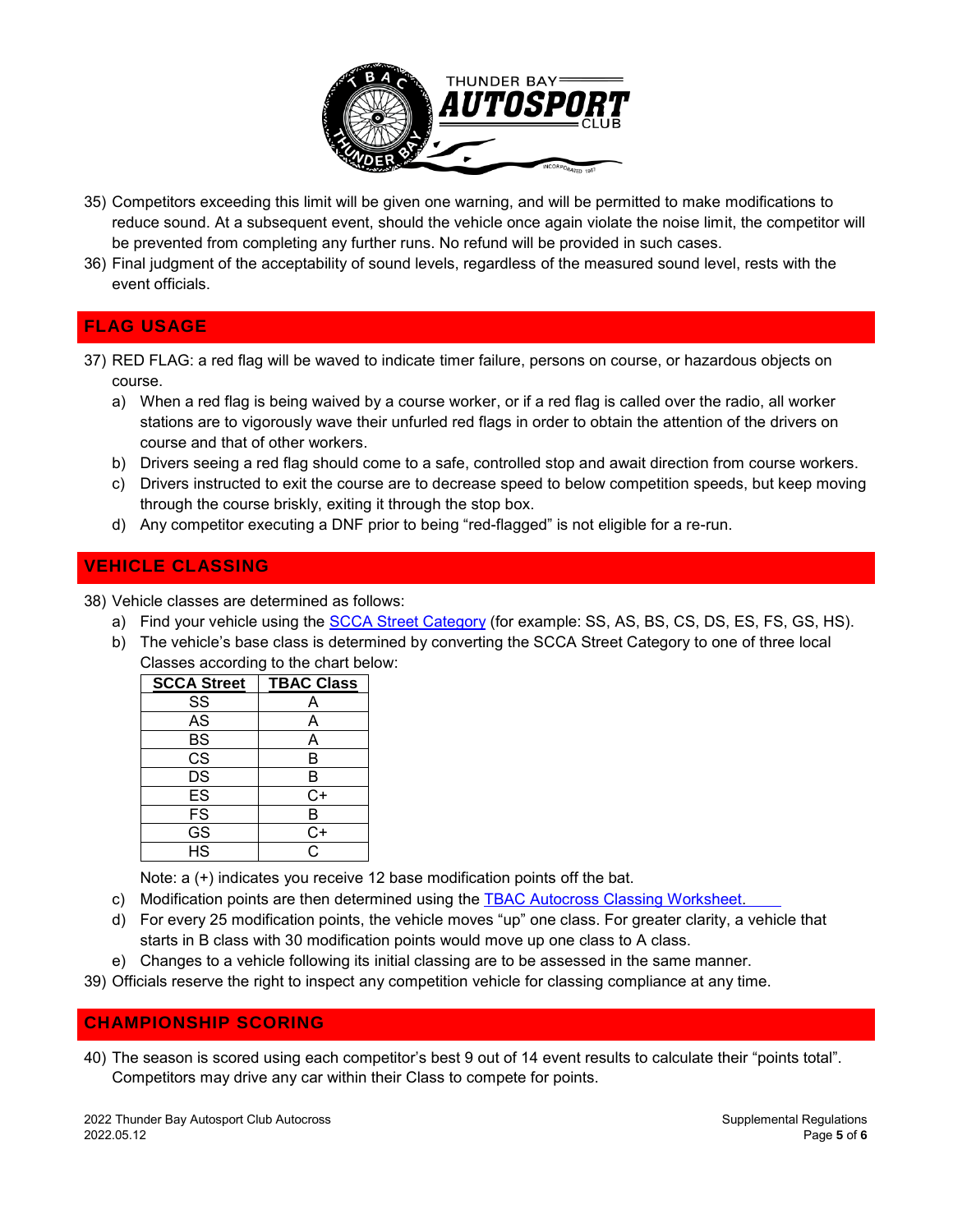

- 35) Competitors exceeding this limit will be given one warning, and will be permitted to make modifications to reduce sound. At a subsequent event, should the vehicle once again violate the noise limit, the competitor will be prevented from completing any further runs. No refund will be provided in such cases.
- 36) Final judgment of the acceptability of sound levels, regardless of the measured sound level, rests with the event officials.

# <span id="page-4-0"></span>**FLAG USAGE**

- 37) RED FLAG: a red flag will be waved to indicate timer failure, persons on course, or hazardous objects on course.
	- a) When a red flag is being waived by a course worker, or if a red flag is called over the radio, all worker stations are to vigorously wave their unfurled red flags in order to obtain the attention of the drivers on course and that of other workers.
	- b) Drivers seeing a red flag should come to a safe, controlled stop and await direction from course workers.
	- c) Drivers instructed to exit the course are to decrease speed to below competition speeds, but keep moving through the course briskly, exiting it through the stop box.
	- d) Any competitor executing a DNF prior to being "red-flagged" is not eligible for a re-run.

# <span id="page-4-1"></span>**VEHICLE CLASSING**

38) Vehicle classes are determined as follows:

- a) Find your vehicle using the [SCCA Street Category](http://www.scca.com/downloads/13222-2016-2-25-street-category-by-manufacturer/download) (for example: SS, AS, BS, CS, DS, ES, FS, GS, HS).
- b) The vehicle's base class is determined by converting the SCCA Street Category to one of three local Classes according to the chart below:

| <b>SCCA Street</b>       | <b>TBAC Class</b>  |
|--------------------------|--------------------|
| SS                       | А                  |
| AS                       | Α                  |
| <b>BS</b>                | А                  |
| $\overline{\text{cs}}$   | B                  |
| DS                       | B                  |
| ES                       | $C+$               |
| <b>FS</b>                | B                  |
| $\overline{\text{GS}}$   | $\overline{C}$     |
| $\overline{\mathsf{HS}}$ | $\overline{\rm c}$ |

Note: a (+) indicates you receive 12 base modification points off the bat.

- c) Modification points are then determined using the [TBAC Autocross Classing Worksheet.](http://www.thunderbayautosportclub.com/tbac/uploads/summer/2018-TBAC-Classing-Worksheet.pdf)
- d) For every 25 modification points, the vehicle moves "up" one class. For greater clarity, a vehicle that starts in B class with 30 modification points would move up one class to A class.
- e) Changes to a vehicle following its initial classing are to be assessed in the same manner.
- 39) Officials reserve the right to inspect any competition vehicle for classing compliance at any time.

#### <span id="page-4-2"></span>**CHAMPIONSHIP SCORING**

40) The season is scored using each competitor's best 9 out of 14 event results to calculate their "points total". Competitors may drive any car within their Class to compete for points.